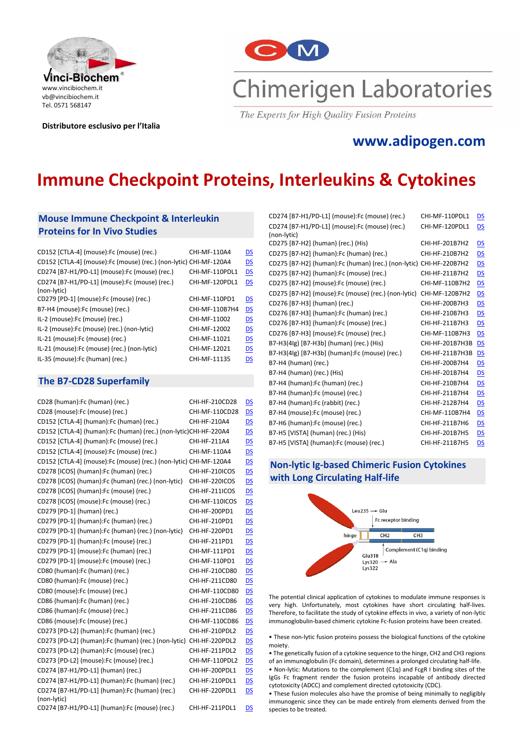

**Distributore esclusivo per l'Italia**



The Experts for High Quality Fusion Proteins

## **[www.adipogen.com](http://www.adipogen.com/)**

# **Immune Checkpoint Proteins, Interleukins & Cytokines**

## **Mouse Immune Checkpoint & Interleukin Proteins for In Vivo Studies**

| CD152 [CTLA-4] (mouse):Fc (mouse) (rec.)                          | CHI-MF-110A4   | DS                        |
|-------------------------------------------------------------------|----------------|---------------------------|
| CD152 [CTLA-4] (mouse):Fc (mouse) (rec.) (non-lytic) CHI-MF-120A4 |                | <b>DS</b>                 |
| CD274 [B7-H1/PD-L1] (mouse):Fc (mouse) (rec.)                     | CHI-MF-110PDL1 | <b>DS</b>                 |
| CD274 [B7-H1/PD-L1] (mouse):Fc (mouse) (rec.)                     | CHI-MF-120PDL1 | DS                        |
| (non-lytic)                                                       |                |                           |
| CD279 [PD-1] (mouse):Fc (mouse) (rec.)                            | CHI-MF-110PD1  | <b>DS</b>                 |
| B7-H4 (mouse):Fc (mouse) (rec.)                                   | CHI-MF-110B7H4 | DS                        |
| IL-2 (mouse):Fc (mouse) (rec.)                                    | CHI-MF-11002   | DS                        |
| IL-2 (mouse):Fc (mouse) (rec.) (non-lytic)                        | CHI-MF-12002   | DS                        |
| IL-21 (mouse):Fc (mouse) (rec.)                                   | CHI-MF-11021   | $\underline{\mathsf{DS}}$ |
| IL-21 (mouse):Fc (mouse) (rec.) (non-lytic)                       | CHI-MF-12021   | DS                        |
| IL-35 (mouse):Fc (human) (rec.)                                   | CHI-MF-11135   | DS                        |

## **The B7-CD28 Superfamily**

| CD28 (human):Fc (human) (rec.)                                     | CHI-HF-210CD28 | <b>DS</b>      |
|--------------------------------------------------------------------|----------------|----------------|
| CD28 (mouse):Fc (mouse) (rec.)                                     | CHI-MF-110CD28 | DS             |
| CD152 [CTLA-4] (human):Fc (human) (rec.)                           | CHI-HF-210A4   | DS             |
| CD152 [CTLA-4] (human):Fc (human) (rec.) (non-lytic)CHI-HF-220A4   |                | DS             |
| CD152 [CTLA-4] (human):Fc (mouse) (rec.)                           | CHI-HF-211A4   | <u>DS</u>      |
| CD152 [CTLA-4] (mouse):Fc (mouse) (rec.)                           | CHI-MF-110A4   | DS             |
| CD152 [CTLA-4] (mouse):Fc (mouse) (rec.) (non-lytic) CHI-MF-120A4  |                | <u>DS</u>      |
| CD278 [ICOS] (human):Fc (human) (rec.)                             | CHI-HF-210ICOS | <u>DS</u>      |
| CD278 [ICOS] (human):Fc (human) (rec.) (non-lytic)                 | CHI-HF-220ICOS | DS             |
| CD278 [ICOS] (human):Fc (mouse) (rec.)                             | CHI-HF-211ICOS | <u>DS</u>      |
| CD278 [ICOS] (mouse):Fc (mouse) (rec.)                             | CHI-MF-110ICOS | DS             |
| CD279 [PD-1] (human) (rec.)                                        | CHI-HF-200PD1  | DS             |
| CD279 [PD-1] (human):Fc (human) (rec.)                             | CHI-HF-210PD1  | DS             |
| CD279 [PD-1] (human):Fc (human) (rec.) (non-lytic)                 | CHI-HF-220PD1  | DS             |
| CD279 [PD-1] (human): Fc (mouse) (rec.)                            | CHI-HF-211PD1  | <u>DS</u>      |
| CD279 [PD-1] (mouse):Fc (human) (rec.)                             | CHI-MF-111PD1  | <u>DS</u>      |
| CD279 [PD-1] (mouse):Fc (mouse) (rec.)                             | CHI-MF-110PD1  | <u>DS</u>      |
| CD80 (human):Fc (human) (rec.)                                     | CHI-HF-210CD80 | D <sub>S</sub> |
| CD80 (human):Fc (mouse) (rec.)                                     | CHI-HF-211CD80 | DS             |
| CD80 (mouse):Fc (mouse) (rec.)                                     | CHI-MF-110CD80 | DS             |
| CD86 (human): Fc (human) (rec.)                                    | CHI-HF-210CD86 | DS             |
| CD86 (human):Fc (mouse) (rec.)                                     | CHI-HF-211CD86 | <u>DS</u>      |
| CD86 (mouse):Fc (mouse) (rec.)                                     | CHI-MF-110CD86 | DS             |
| CD273 [PD-L2] (human):Fc (human) (rec.)                            | CHI-HF-210PDL2 | <u>DS</u>      |
| CD273 [PD-L2] (human):Fc (human) (rec.) (non-lytic) CHI-HF-220PDL2 |                | DS             |
| CD273 [PD-L2] (human):Fc (mouse) (rec.)                            | CHI-HF-211PDL2 | <u>DS</u>      |
| CD273 [PD-L2] (mouse):Fc (mouse) (rec.)                            | CHI-MF-110PDL2 | DS             |
| CD274 [B7-H1/PD-L1] (human) (rec.)                                 | CHI-HF-200PDL1 | <u>DS</u>      |
| CD274 [B7-H1/PD-L1] (human):Fc (human) (rec.)                      | CHI-HF-210PDL1 | <u>DS</u>      |
| CD274 [B7-H1/PD-L1] (human):Fc (human) (rec.)                      | CHI-HF-220PDL1 | <u>DS</u>      |
| (non-lytic)                                                        |                |                |
| CD274 [B7-H1/PD-L1] (human):Fc (mouse) (rec.)                      | CHI-HF-211PDL1 | DS             |

| CD274 [B7-H1/PD-L1] (mouse):Fc (mouse) (rec.)                      | CHI-MF-110PDL1  | <u>DS</u>                 |
|--------------------------------------------------------------------|-----------------|---------------------------|
| CD274 [B7-H1/PD-L1] (mouse):Fc (mouse) (rec.)                      | CHI-MF-120PDL1  | DS                        |
| (non-lytic)                                                        |                 |                           |
| CD275 [B7-H2] (human) (rec.) (His)                                 | CHI-HF-201B7H2  | <u>DS</u>                 |
| CD275 [B7-H2] (human):Fc (human) (rec.)                            | CHI-HF-210B7H2  | $\overline{\mathsf{DS}}$  |
| CD275 [B7-H2] (human):Fc (human) (rec.) (non-lytic) CHI-HF-220B7H2 |                 | <u>DS</u>                 |
| CD275 [B7-H2] (human):Fc (mouse) (rec.)                            | CHI-HF-211B7H2  | DS                        |
| CD275 [B7-H2] (mouse):Fc (mouse) (rec.)                            | CHI-MF-110B7H2  | <u>DS</u>                 |
| CD275 [B7-H2] (mouse):Fc (mouse) (rec.) (non-lytic)                | CHI-MF-120B7H2  | <u>DS</u>                 |
| CD276 [B7-H3] (human) (rec.)                                       | CHI-HF-200B7H3  | DS                        |
| CD276 [B7-H3] (human):Fc (human) (rec.)                            | CHI-HF-210B7H3  | <u>DS</u>                 |
| CD276 [B7-H3] (human):Fc (mouse) (rec.)                            | CHI-HF-211B7H3  | $\overline{\mathsf{DS}}$  |
| CD276 [B7-H3] (mouse):Fc (mouse) (rec.)                            | CHI-MF-110B7H3  | DS                        |
| B7-H3(4lg) [B7-H3b] (human) (rec.) (His)                           | CHI-HF-201B7H3B | DS                        |
| B7-H3(4lg) [B7-H3b] (human):Fc (mouse) (rec.)                      | CHI-HF-211B7H3B | DS                        |
| B7-H4 (human) (rec.)                                               | CHI-HF-200B7H4  | <u>DS</u>                 |
| B7-H4 (human) (rec.) (His)                                         | CHI-HF-201B7H4  | DS                        |
| B7-H4 (human):Fc (human) (rec.)                                    | CHI-HF-210B7H4  | <u>DS</u>                 |
| B7-H4 (human):Fc (mouse) (rec.)                                    | CHI-HF-211B7H4  | DS                        |
| B7-H4 (human):Fc (rabbit) (rec.)                                   | CHI-HF-212B7H4  | $\underline{\mathsf{DS}}$ |
| B7-H4 (mouse):Fc (mouse) (rec.)                                    | CHI-MF-110B7H4  | DS                        |
| B7-H6 (human):Fc (mouse) (rec.)                                    | CHI-HF-211B7H6  | <u>DS</u>                 |
| B7-H5 [VISTA] (human) (rec.) (His)                                 | CHI-HF-201B7H5  | DS                        |
| B7-H5 [VISTA] (human):Fc (mouse) (rec.)                            | CHI-HF-211B7H5  | DS                        |
|                                                                    |                 |                           |

## **Non-lytic Ig-based Chimeric Fusion Cytokines with Long Circulating Half-life**



The potential clinical application of cytokines to modulate immune responses is very high. Unfortunately, most cytokines have short circulating half-lives. Therefore, to facilitate the study of cytokine effects in vivo, a variety of non-lytic immunoglobulin-based chimeric cytokine Fc-fusion proteins have been created.

• These non-lytic fusion proteins possess the biological functions of the cytokine moiety.

• The genetically fusion of a cytokine sequence to the hinge, CH2 and CH3 regions of an immunoglobulin (Fc domain), determines a prolonged circulating half-life. • Non-lytic: Mutations to the complement (C1q) and FcgR I binding sites of the IgGs Fc fragment render the fusion proteins incapable of antibody directed cytotoxicity (ADCC) and complement directed cytotoxicity (CDC).

• These fusion molecules also have the promise of being minimally to negligibly immunogenic since they can be made entirely from elements derived from the species to be treated.